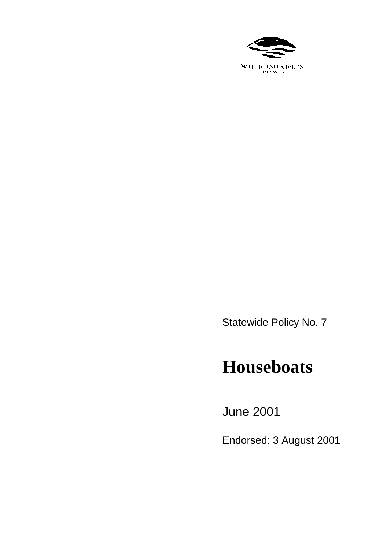

Statewide Policy No. 7

# **Houseboats**

June 2001

Endorsed: 3 August 2001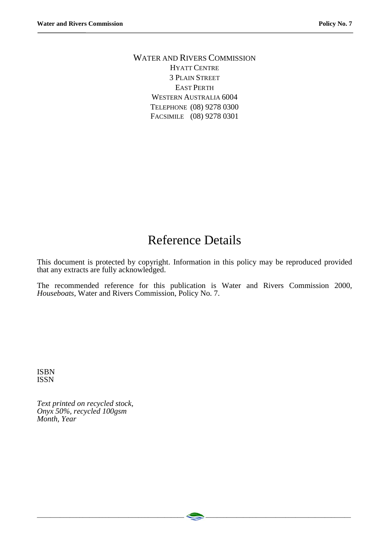WATER AND RIVERS COMMISSION HYATT CENTRE 3 PLAIN STREET EAST PERTH WESTERN AUSTRALIA 6004 TELEPHONE (08) 9278 0300 FACSIMILE (08) 9278 0301

# Reference Details

This document is protected by copyright. Information in this policy may be reproduced provided that any extracts are fully acknowledged.

The recommended reference for this publication is Water and Rivers Commission 2000, *Houseboats*, Water and Rivers Commission, Policy No. 7.

ISBN ISSN

*Text printed on recycled stock, Onyx 50%, recycled 100gsm Month, Year*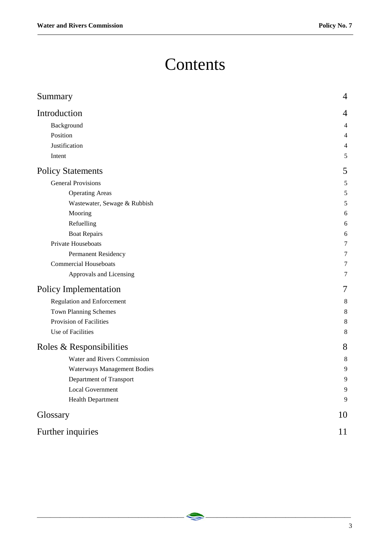# **Contents**

| 4<br>Background<br>4<br>Position<br>4<br>Justification<br>4<br>5<br>Intent<br>5<br><b>General Provisions</b><br>5<br><b>Operating Areas</b><br>5<br>5<br>Wastewater, Sewage & Rubbish<br>Mooring<br>6<br>Refuelling<br>6<br><b>Boat Repairs</b><br>6<br>Private Houseboats<br>7<br>Permanent Residency<br>7<br><b>Commercial Houseboats</b><br>7<br>Approvals and Licensing<br>7<br>7<br><b>Regulation and Enforcement</b><br>8<br><b>Town Planning Schemes</b><br>8<br>Provision of Facilities<br>8<br>Use of Facilities<br>8<br>8<br>Water and Rivers Commission<br>8<br>Waterways Management Bodies<br>9<br>Department of Transport<br>9<br><b>Local Government</b><br>9<br>$\overline{9}$<br><b>Health Department</b><br>10<br>11 | Summary                  | $\overline{4}$ |
|---------------------------------------------------------------------------------------------------------------------------------------------------------------------------------------------------------------------------------------------------------------------------------------------------------------------------------------------------------------------------------------------------------------------------------------------------------------------------------------------------------------------------------------------------------------------------------------------------------------------------------------------------------------------------------------------------------------------------------------|--------------------------|----------------|
|                                                                                                                                                                                                                                                                                                                                                                                                                                                                                                                                                                                                                                                                                                                                       | Introduction             |                |
|                                                                                                                                                                                                                                                                                                                                                                                                                                                                                                                                                                                                                                                                                                                                       |                          |                |
|                                                                                                                                                                                                                                                                                                                                                                                                                                                                                                                                                                                                                                                                                                                                       |                          |                |
|                                                                                                                                                                                                                                                                                                                                                                                                                                                                                                                                                                                                                                                                                                                                       |                          |                |
|                                                                                                                                                                                                                                                                                                                                                                                                                                                                                                                                                                                                                                                                                                                                       |                          |                |
|                                                                                                                                                                                                                                                                                                                                                                                                                                                                                                                                                                                                                                                                                                                                       | <b>Policy Statements</b> |                |
|                                                                                                                                                                                                                                                                                                                                                                                                                                                                                                                                                                                                                                                                                                                                       |                          |                |
|                                                                                                                                                                                                                                                                                                                                                                                                                                                                                                                                                                                                                                                                                                                                       |                          |                |
|                                                                                                                                                                                                                                                                                                                                                                                                                                                                                                                                                                                                                                                                                                                                       |                          |                |
|                                                                                                                                                                                                                                                                                                                                                                                                                                                                                                                                                                                                                                                                                                                                       |                          |                |
|                                                                                                                                                                                                                                                                                                                                                                                                                                                                                                                                                                                                                                                                                                                                       |                          |                |
|                                                                                                                                                                                                                                                                                                                                                                                                                                                                                                                                                                                                                                                                                                                                       |                          |                |
|                                                                                                                                                                                                                                                                                                                                                                                                                                                                                                                                                                                                                                                                                                                                       |                          |                |
|                                                                                                                                                                                                                                                                                                                                                                                                                                                                                                                                                                                                                                                                                                                                       |                          |                |
|                                                                                                                                                                                                                                                                                                                                                                                                                                                                                                                                                                                                                                                                                                                                       |                          |                |
|                                                                                                                                                                                                                                                                                                                                                                                                                                                                                                                                                                                                                                                                                                                                       |                          |                |
|                                                                                                                                                                                                                                                                                                                                                                                                                                                                                                                                                                                                                                                                                                                                       | Policy Implementation    |                |
|                                                                                                                                                                                                                                                                                                                                                                                                                                                                                                                                                                                                                                                                                                                                       |                          |                |
|                                                                                                                                                                                                                                                                                                                                                                                                                                                                                                                                                                                                                                                                                                                                       |                          |                |
|                                                                                                                                                                                                                                                                                                                                                                                                                                                                                                                                                                                                                                                                                                                                       |                          |                |
|                                                                                                                                                                                                                                                                                                                                                                                                                                                                                                                                                                                                                                                                                                                                       |                          |                |
|                                                                                                                                                                                                                                                                                                                                                                                                                                                                                                                                                                                                                                                                                                                                       | Roles & Responsibilities |                |
|                                                                                                                                                                                                                                                                                                                                                                                                                                                                                                                                                                                                                                                                                                                                       |                          |                |
|                                                                                                                                                                                                                                                                                                                                                                                                                                                                                                                                                                                                                                                                                                                                       |                          |                |
|                                                                                                                                                                                                                                                                                                                                                                                                                                                                                                                                                                                                                                                                                                                                       |                          |                |
|                                                                                                                                                                                                                                                                                                                                                                                                                                                                                                                                                                                                                                                                                                                                       |                          |                |
|                                                                                                                                                                                                                                                                                                                                                                                                                                                                                                                                                                                                                                                                                                                                       |                          |                |
|                                                                                                                                                                                                                                                                                                                                                                                                                                                                                                                                                                                                                                                                                                                                       | Glossary                 |                |
|                                                                                                                                                                                                                                                                                                                                                                                                                                                                                                                                                                                                                                                                                                                                       | Further inquiries        |                |

\_\_\_\_\_\_\_\_\_\_\_\_\_\_\_\_\_\_\_\_\_\_\_\_\_\_\_\_\_\_\_\_\_\_\_\_\_\_\_\_\_\_\_\_\_ \_\_\_\_\_\_\_\_\_\_\_\_\_\_\_\_\_\_\_\_\_\_\_\_\_\_\_\_\_\_\_\_\_\_\_\_\_\_\_\_\_\_\_\_\_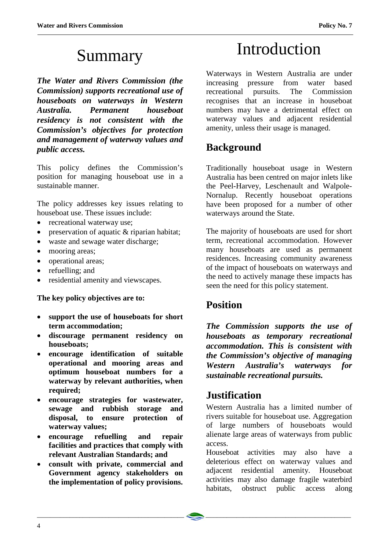# Summary

*The Water and Rivers Commission (the Commission) supports recreational use of houseboats on waterways in Western Australia. Permanent houseboat residency is not consistent with the Commission's objectives for protection and management of waterway values and public access.*

This policy defines the Commission's position for managing houseboat use in a sustainable manner.

The policy addresses key issues relating to houseboat use. These issues include:

- recreational waterway use;
- preservation of aquatic & riparian habitat;
- waste and sewage water discharge;
- mooring areas;
- operational areas;
- refuelling; and
- residential amenity and viewscapes.

**The key policy objectives are to:**

- **support the use of houseboats for short term accommodation;**
- **discourage permanent residency on houseboats;**
- **encourage identification of suitable operational and mooring areas and optimum houseboat numbers for a waterway by relevant authorities, when required;**
- **encourage strategies for wastewater, sewage and rubbish storage and disposal, to ensure protection of waterway values;**
- **encourage refuelling and repair facilities and practices that comply with relevant Australian Standards; and**
- **consult with private, commercial and Government agency stakeholders on the implementation of policy provisions.**

# Introduction

Waterways in Western Australia are under increasing pressure from water based recreational pursuits. The Commission recognises that an increase in houseboat numbers may have a detrimental effect on waterway values and adjacent residential amenity, unless their usage is managed.

## **Background**

Traditionally houseboat usage in Western Australia has been centred on major inlets like the Peel-Harvey, Leschenault and Walpole-Nornalup. Recently houseboat operations have been proposed for a number of other waterways around the State.

The majority of houseboats are used for short term, recreational accommodation. However many houseboats are used as permanent residences. Increasing community awareness of the impact of houseboats on waterways and the need to actively manage these impacts has seen the need for this policy statement.

## **Position**

*The Commission supports the use of houseboats as temporary recreational accommodation. This is consistent with the Commission's objective of managing Western Australia's waterways for sustainable recreational pursuits.*

## **Justification**

Western Australia has a limited number of rivers suitable for houseboat use. Aggregation of large numbers of houseboats would alienate large areas of waterways from public access.

Houseboat activities may also have a deleterious effect on waterway values and adjacent residential amenity. Houseboat activities may also damage fragile waterbird habitats, obstruct public access along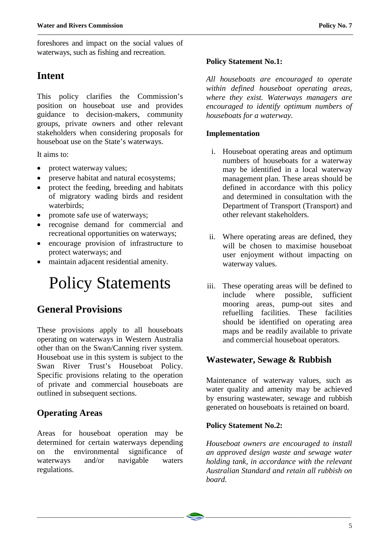foreshores and impact on the social values of waterways, such as fishing and recreation.

## **Intent**

This policy clarifies the Commission's position on houseboat use and provides guidance to decision-makers, community groups, private owners and other relevant stakeholders when considering proposals for houseboat use on the State's waterways.

It aims to:

- protect waterway values;
- preserve habitat and natural ecosystems;
- protect the feeding, breeding and habitats of migratory wading birds and resident waterbirds;
- promote safe use of waterways;
- recognise demand for commercial and recreational opportunities on waterways;
- encourage provision of infrastructure to protect waterways; and
- maintain adjacent residential amenity.

# Policy Statements

# **General Provisions**

These provisions apply to all houseboats operating on waterways in Western Australia other than on the Swan/Canning river system. Houseboat use in this system is subject to the Swan River Trust's Houseboat Policy. Specific provisions relating to the operation of private and commercial houseboats are outlined in subsequent sections.

## **Operating Areas**

Areas for houseboat operation may be determined for certain waterways depending on the environmental significance of waterways and/or navigable waters regulations.

### **Policy Statement No.1:**

*All houseboats are encouraged to operate within defined houseboat operating areas, where they exist. Waterways managers are encouraged to identify optimum numbers of houseboats for a waterway.*

### **Implementation**

- i. Houseboat operating areas and optimum numbers of houseboats for a waterway may be identified in a local waterway management plan. These areas should be defined in accordance with this policy and determined in consultation with the Department of Transport (Transport) and other relevant stakeholders.
- ii. Where operating areas are defined, they will be chosen to maximise houseboat user enjoyment without impacting on waterway values.
- iii. These operating areas will be defined to include where possible, sufficient mooring areas, pump-out sites and refuelling facilities. These facilities should be identified on operating area maps and be readily available to private and commercial houseboat operators.

## **Wastewater, Sewage & Rubbish**

Maintenance of waterway values, such as water quality and amenity may be achieved by ensuring wastewater, sewage and rubbish generated on houseboats is retained on board.

### **Policy Statement No.2:**

*Houseboat owners are encouraged to install an approved design waste and sewage water holding tank, in accordance with the relevant Australian Standard and retain all rubbish on board.*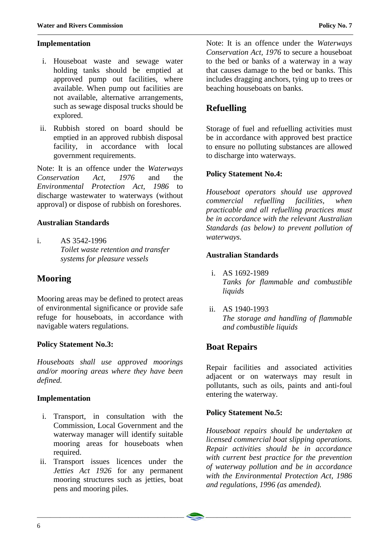#### **Implementation**

- i. Houseboat waste and sewage water holding tanks should be emptied at approved pump out facilities, where available. When pump out facilities are not available, alternative arrangements, such as sewage disposal trucks should be explored.
- ii. Rubbish stored on board should be emptied in an approved rubbish disposal facility, in accordance with local government requirements.

Note: It is an offence under the *Waterways Conservation Act, 1976* and the *Environmental Protection Act, 1986* to discharge wastewater to waterways (without approval) or dispose of rubbish on foreshores.

#### **Australian Standards**

i. AS 3542-1996 *Toilet waste retention and transfer systems for pleasure vessels*

## **Mooring**

Mooring areas may be defined to protect areas of environmental significance or provide safe refuge for houseboats, in accordance with navigable waters regulations.

#### **Policy Statement No.3:**

*Houseboats shall use approved moorings and/or mooring areas where they have been defined.*

#### **Implementation**

- i. Transport, in consultation with the Commission, Local Government and the waterway manager will identify suitable mooring areas for houseboats when required.
- ii. Transport issues licences under the *Jetties Act 1926* for any permanent mooring structures such as jetties, boat pens and mooring piles.

Note: It is an offence under the *Waterways Conservation Act, 1976* to secure a houseboat to the bed or banks of a waterway in a way that causes damage to the bed or banks. This includes dragging anchors, tying up to trees or beaching houseboats on banks.

## **Refuelling**

Storage of fuel and refuelling activities must be in accordance with approved best practice to ensure no polluting substances are allowed to discharge into waterways.

#### **Policy Statement No.4:**

*Houseboat operators should use approved commercial refuelling facilities, when practicable and all refuelling practices must be in accordance with the relevant Australian Standards (as below) to prevent pollution of waterways.*

#### **Australian Standards**

- i. AS 1692-1989 *Tanks for flammable and combustible liquids*
- ii. AS 1940-1993 *The storage and handling of flammable and combustible liquids*

## **Boat Repairs**

Repair facilities and associated activities adjacent or on waterways may result in pollutants, such as oils, paints and anti-foul entering the waterway.

#### **Policy Statement No.5:**

*Houseboat repairs should be undertaken at licensed commercial boat slipping operations. Repair activities should be in accordance with current best practice for the prevention of waterway pollution and be in accordance with the Environmental Protection Act, 1986 and regulations, 1996 (as amended).*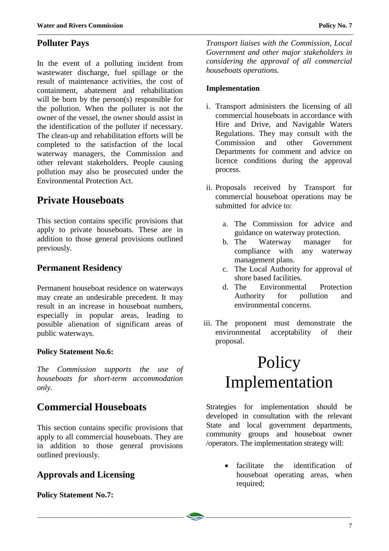## **Polluter Pays**

In the event of a polluting incident from wastewater discharge, fuel spillage or the result of maintenance activities, the cost of containment, abatement and rehabilitation will be born by the person(s) responsible for the pollution. When the polluter is not the owner of the vessel, the owner should assist in the identification of the polluter if necessary. The clean-up and rehabilitation efforts will be completed to the satisfaction of the local waterway managers, the Commission and other relevant stakeholders. People causing pollution may also be prosecuted under the Environmental Protection Act.

## **Private Houseboats**

This section contains specific provisions that apply to private houseboats. These are in addition to those general provisions outlined previously.

### **Permanent Residency**

Permanent houseboat residence on waterways may create an undesirable precedent. It may result in an increase in houseboat numbers, especially in popular areas, leading to possible alienation of significant areas of public waterways.

#### **Policy Statement No.6:**

*The Commission supports the use of houseboats for short-term accommodation only.*

## **Commercial Houseboats**

This section contains specific provisions that apply to all commercial houseboats. They are in addition to those general provisions outlined previously.

## **Approvals and Licensing**

#### **Policy Statement No.7:**

*Transport liaises with the Commission, Local Government and other major stakeholders in considering the approval of all commercial houseboats operations.*

#### **Implementation**

- i. Transport administers the licensing of all commercial houseboats in accordance with Hire and Drive, and Navigable Waters Regulations. They may consult with the Commission and other Government Departments for comment and advice on licence conditions during the approval process.
- ii. Proposals received by Transport for commercial houseboat operations may be submitted for advice to:
	- a. The Commission for advice and guidance on waterway protection.
	- b. The Waterway manager for compliance with any waterway management plans.
	- c. The Local Authority for approval of shore based facilities.
	- d. The Environmental Protection Authority for pollution and environmental concerns.
- iii. The proponent must demonstrate the environmental acceptability of their proposal.

# Policy Implementation

Strategies for implementation should be developed in consultation with the relevant State and local government departments, community groups and houseboat owner /operators. The implementation strategy will:

> facilitate the identification of houseboat operating areas, when required;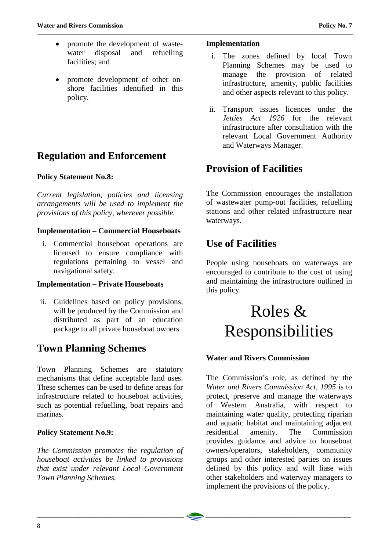- promote the development of wastewater disposal and refuelling facilities; and
- promote development of other onshore facilities identified in this policy.

# **Regulation and Enforcement**

### **Policy Statement No.8:**

*Current legislation, policies and licensing arrangements will be used to implement the provisions of this policy, wherever possible.*

### **Implementation – Commercial Houseboats**

i. Commercial houseboat operations are licensed to ensure compliance with regulations pertaining to vessel and navigational safety.

#### **Implementation – Private Houseboats**

ii. Guidelines based on policy provisions, will be produced by the Commission and distributed as part of an education package to all private houseboat owners.

# **Town Planning Schemes**

Town Planning Schemes are statutory mechanisms that define acceptable land uses. These schemes can be used to define areas for infrastructure related to houseboat activities, such as potential refuelling, boat repairs and marinas.

### **Policy Statement No.9:**

*The Commission promotes the regulation of houseboat activities be linked to provisions that exist under relevant Local Government Town Planning Schemes.*

#### **Implementation**

- i. The zones defined by local Town Planning Schemes may be used to manage the provision of related infrastructure, amenity, public facilities and other aspects relevant to this policy.
- ii. Transport issues licences under the *Jetties Act 1926* for the relevant infrastructure after consultation with the relevant Local Government Authority and Waterways Manager.

## **Provision of Facilities**

The Commission encourages the installation of wastewater pump-out facilities, refuelling stations and other related infrastructure near waterways.

## **Use of Facilities**

People using houseboats on waterways are encouraged to contribute to the cost of using and maintaining the infrastructure outlined in this policy.

# Roles & Responsibilities

### **Water and Rivers Commission**

The Commission's role, as defined by the *Water and Rivers Commission Act, 1995* is to protect, preserve and manage the waterways of Western Australia, with respect to maintaining water quality, protecting riparian and aquatic habitat and maintaining adjacent residential amenity. The Commission provides guidance and advice to houseboat owners/operators, stakeholders, community groups and other interested parties on issues defined by this policy and will liase with other stakeholders and waterway managers to implement the provisions of the policy.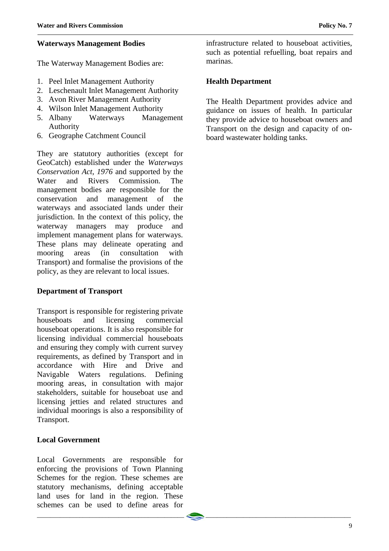#### **Waterways Management Bodies**

The Waterway Management Bodies are:

- 1. Peel Inlet Management Authority
- 2. Leschenault Inlet Management Authority
- 3. Avon River Management Authority
- 4. Wilson Inlet Management Authority
- 5. Albany Waterways Management Authority
- 6. Geographe Catchment Council

They are statutory authorities (except for GeoCatch) established under the *Waterways Conservation Act*, *1976* and supported by the Water and Rivers Commission. The management bodies are responsible for the conservation and management of the waterways and associated lands under their jurisdiction. In the context of this policy, the waterway managers may produce and implement management plans for waterways. These plans may delineate operating and mooring areas (in consultation with Transport) and formalise the provisions of the policy, as they are relevant to local issues.

#### **Department of Transport**

Transport is responsible for registering private houseboats and licensing commercial houseboat operations. It is also responsible for licensing individual commercial houseboats and ensuring they comply with current survey requirements, as defined by Transport and in accordance with Hire and Drive and Navigable Waters regulations. Defining mooring areas, in consultation with major stakeholders, suitable for houseboat use and licensing jetties and related structures and individual moorings is also a responsibility of Transport.

#### **Local Government**

Local Governments are responsible for enforcing the provisions of Town Planning Schemes for the region. These schemes are statutory mechanisms, defining acceptable land uses for land in the region. These schemes can be used to define areas for

infrastructure related to houseboat activities, such as potential refuelling, boat repairs and marinas.

#### **Health Department**

The Health Department provides advice and guidance on issues of health. In particular they provide advice to houseboat owners and Transport on the design and capacity of onboard wastewater holding tanks.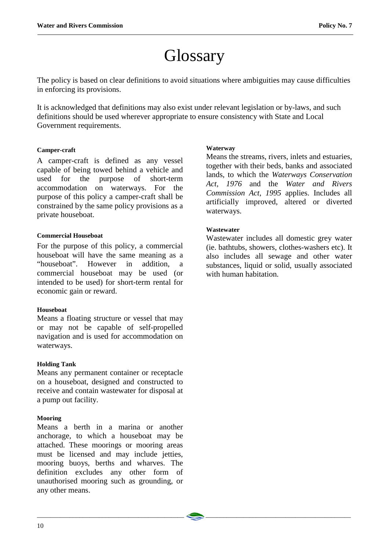# **Glossary**

The policy is based on clear definitions to avoid situations where ambiguities may cause difficulties in enforcing its provisions.

It is acknowledged that definitions may also exist under relevant legislation or by-laws, and such definitions should be used wherever appropriate to ensure consistency with State and Local Government requirements.

\_\_\_\_\_\_\_\_\_\_\_\_\_\_\_\_\_\_\_\_\_\_\_\_\_\_\_\_\_\_\_\_\_\_\_\_\_\_\_\_\_\_\_\_\_ \_\_\_\_\_\_\_\_\_\_\_\_\_\_\_\_\_\_\_\_\_\_\_\_\_\_\_\_\_\_\_\_\_\_\_\_\_\_\_\_\_\_\_\_\_

#### **Camper-craft**

A camper-craft is defined as any vessel capable of being towed behind a vehicle and used for the purpose of short-term accommodation on waterways. For the purpose of this policy a camper-craft shall be constrained by the same policy provisions as a private houseboat.

#### **Commercial Houseboat**

For the purpose of this policy, a commercial houseboat will have the same meaning as a "houseboat". However in addition, a commercial houseboat may be used (or intended to be used) for short-term rental for economic gain or reward.

#### **Houseboat**

Means a floating structure or vessel that may or may not be capable of self-propelled navigation and is used for accommodation on waterways.

#### **Holding Tank**

Means any permanent container or receptacle on a houseboat, designed and constructed to receive and contain wastewater for disposal at a pump out facility.

#### **Mooring**

Means a berth in a marina or another anchorage, to which a houseboat may be attached. These moorings or mooring areas must be licensed and may include jetties, mooring buoys, berths and wharves. The definition excludes any other form of unauthorised mooring such as grounding, or any other means.

#### **Waterway**

Means the streams, rivers, inlets and estuaries, together with their beds, banks and associated lands, to which the *Waterways Conservation Act, 1976* and the *Water and Rivers Commission Act, 1995* applies. Includes all artificially improved, altered or diverted waterways.

#### **Wastewater**

Wastewater includes all domestic grey water (ie. bathtubs, showers, clothes-washers etc). It also includes all sewage and other water substances, liquid or solid, usually associated with human habitation.